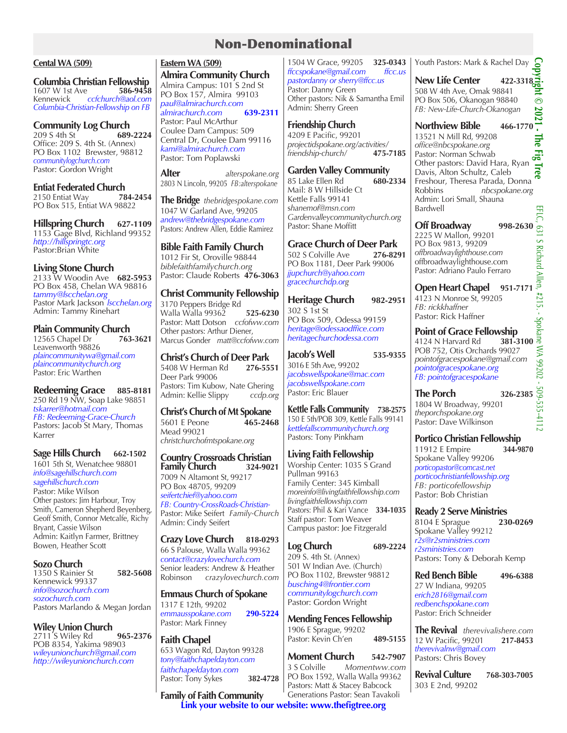## Non-Denominational

### **Cental WA (509)**

**Columbia Christian Fellowship**<br>1607 W 1st Ave **586-9458** 1607 W 1st Ave **586-9458** Kennewick *ccfchurch@aol.com Columbia-Christian-Fellowship on FB*

# **Community Log Church**<br>209 S 4th St 689-2224

209 S 4th St<sup>2</sup> Office: 209 S. 4th St. (Annex) PO Box 1102 Brewster, 98812 *communitylogchurch.com* Pastor: Gordon Wright

**Entiat Federated Church**<br>2150 Entiat Way **784-2454** 2150 Entiat Way PO Box 515, Entiat WA 98822

**Hillspring Church 627-1109** 1153 Gage Blvd, Richland 99352 *http://hillspringtc.org* Pastor:Brian White

## **Living Stone Church**

2133 W Woodin Ave **682-5953** PO Box 458, Chelan WA 98816 *tammy@lscchelan.org* Pastor Mark Jackson *lscchelan.org* Admin: Tammy Rinehart

# **Plain Community Church**<br>12565 Chapel Dr 763-3621

12565 Chapel Dr **763-3621** Leavenworth 98826 *plaincommunitywa@gmail.com plaincommunitychurch.org* Pastor: Eric Warthen

**Redeeming Grace 885-8181** 250 Rd 19 NW, Soap Lake 98851 *tskarrer@hotmail.com FB: Redeeming-Grace-Church* Pastors: Jacob St Mary, Thomas Karrer

## **Sage Hills Church** 662-1502

1601 5th St, Wenatchee 98801 *info@sagehillschurch.com sagehillschurch.com* Pastor: Mike Wilson Other pastors: Jim Harbour, Troy Smith, Cameron Shepherd Beyenberg, Geoff Smith, Connor Metcalfe, Richy Bryant, Cassie Wilson Admin: Kaitlyn Farmer, Brittney Bowen, Heather Scott

## **Sozo Church**

1350 S Rainier St **582-5608** Kennewick 99337 *info@sozochurch.com sozochurch.com*  Pastors Marlando & Megan Jordan

**Wiley Union Church** 2711 S Wiley Rd **965-2376** POB 8354, Yakima 98903 *wileyunionchurch@gmail.com http://wileyunionchurch.com*

## **Eastern WA (509)**

**Almira Community Church** Almira Campus: 101 S 2nd St PO Box 157, Almira 99103 *paul@almirachurch.com <i>almirachurch.com* Pastor: Paul McArthur Coulee Dam Campus: 509 Central Dr, Coulee Dam 99116 *kami@almirachurch.com* Pastor: Tom Poplawski

**Alter** *alterspokane.org* 2803 N Lincoln, 99205 *FB:alterspokane*

**The Bridge** *thebridgespokane.com* 1047 W Garland Ave, 99205 *andrew@thebridgespokane.com* Pastors: Andrew Allen, Eddie Ramirez

**Bible Faith Family Church** 1012 Fir St, Oroville 98844

*biblefaithfamilychurch.org* Pastor: Claude Roberts **476-3063**

**Christ Community Fellowship** 3170 Peppers Bridge Rd Walla Walla 99362 **525-6230** Pastor: Matt Dotson *ccfofww.com* Other pastors: Arthur Diener, Marcus Gonder *matt@ccfofww.com*

**Christ's Church of Deer Park** 5408 W Herman Rd **276-5551** Deer Park 99006 Pastors: Tim Kubow, Nate Ghering Admin: Kellie Slippy *ccdp.org*

**Christ's Church of Mt Spokane** 5601 E Peone **465-2468** Mead 99021 *christchurchofmtspokane.org*

### **Country Crossroads Christian Family Church**

7009 N Altamont St, 99217 PO Box 48705, 99209 *seifertchief@yahoo.com FB: Country-CrossRoads-Christian-*Pastor: Mike Seifert *Family-Church* Admin: Cindy Seifert

**Crazy Love Church 818-0293** 66 S Palouse, Walla Walla 99362 *contact@crazylovechurch.com* Senior leaders: Andrew & Heather Robinson *crazylovechurch.com*

**Emmaus Church of Spokane** 1317 E 12th, 99202 *emmausspokane.com* **290-5224** Pastor: Mark Finney

## **Faith Chapel**

653 Wagon Rd, Dayton 99328 *tony@faithchapeldayton.com faithchapeldayton.com* Pastor: Tony Sykes **382-4728**

**Family of Faith Community Link your website to our website: www.thefigtree.org** 

1504 W Grace, 99205 **325-0343** *ffccspokane@gmail.com ffcc.us pastordanny or sherry@ffcc.us* Pastor: Danny Green Other pastors: Nik & Samantha Emil Admin: Sherry Green

## **Friendship Church**

4209 E Pacific, 99201 *projectidspokane.org/activities/ friendship-church/* **475-7185**

**Garden Valley Community**

85 Lake Ellen Rd **680-2334** Mail: 8 W Hillside Ct Kettle Falls 99141 s*hanemof@msn.com Gardenvalleycommunitychurch.org* Pastor: Shane Moffitt

# **Grace Church of Deer Park**<br>502 S Colville Ave **276-8291**

502 S Colville Ave PO Box 1181, Deer Park 99006 *jjupchurch@yahoo.com gracechurchdp.org*

**Heritage Church 982-2951** 302 S 1st St PO Box 509, Odessa 99159 *heritage@odessaodffice.com heritagechurchodessa.com*

**Jacob's Well 535-9355**  3016 E 5th Ave, 99202 *jacobswellspokane@mac.com jacobswellspokane.com* Pastor: Eric Blauer

**Kettle Falls Community 738-2575** 150 E 5th/POB 309, Kettle Falls 99141 *kettlefallscommunitychurch.org* Pastors: Tony Pinkham

**Living Faith Fellowship** Worship Center: 1035 S Grand Pullman 99163 Family Center: 345 Kimball *moreinfo@livingfaithfellowship.com livingfaithfellowship.com* Pastors: Phil & Kari Vance **334-1035** Staff pastor: Tom Weaver Campus pastor: Joe Fitzgerald

## **Log Church 689-2224**

209 S. 4th St. (Annex) 501 W Indian Ave. (Church) PO Box 1102, Brewster 98812 *busching4@frontier.com communitylogchurch.com* Pastor: Gordon Wright

**Mending Fences Fellowship** 1906 E Sprague, 99202 Pastor: Kevin Ch'en **489-5155**

**Moment Church 542-7907** 3 S Colville *Momentww.com* PO Box 1592, Walla Walla 99362 Pastors: Matt & Stacey Babcock Generations Pastor: Sean Tavakoli

Youth Pastors: Mark & Rachel Day

**New Life Center 422-3318**<br>508 W 4th Ave, Omak 98841<br>PO Box 506, Okanogan 98840 508 W 4th Ave, Omak 98841 PO Box 506, Okanogan 98840 *FB: New-Life-Church-Okanogan*

## **Copyright © 2021 - The Fig Tree** FB: New-Life-Church-Okanogan<br>**Northview Bible 466-1770** 13521 N Mill Rd, 99208 The *office@nbcspokane.org*  Pastor: Norman Schwab<br>Other pastors: David Hara, Ryan Pastor: Norman Schwab

Davis, Alton Schultz, Caleb Other pastors: David Hara, Ryan<br>Davis, Alton Schultz, Caleb<br>Freshour, Theresa Parada, Donna Robbins *nbcspokane.org* Admin: Lori Small, Shauna Bardwell

**Off Broadway 998-2630** 2225 W Mallon, 99201 PO Box 9813, 99209 *offbroadwaylighthouse.com* offbroadwaylighthouse.com Pastor: Adriano Paulo Ferraro

**Open Heart Chapel 951-7171** 4123 N Monroe St, 99205 *FB: rickkhaffner* Pastor: Rick Haffner

Pastor: Rick Haffner<br>**Point of Grace Fellowship**<br>4124 N Harvard Rd **381-3100** 4124 N Harvard Rd **381-3100** POB 752, Otis Orchards 99027 *pointofgracespokane@gmail.com pointofgracespokane.org FB: pointofgracespokane*

**The Porch 326-2385** 1804 W Broadway, 99201 *theporchspokane.org* Pastor: Dave Wilkinson

## **Portico Christian Fellowship** 11912 E Empire **344-9870**

Spokane Valley 99206 *porticopastor@comcast.net porticochristianfellowship.org FB: porticofellowship* Pastor: Bob Christian

**Ready 2 Serve Ministries**

8104 E Sprague **230-0269** Spokane Valley 99212 *r2s@r2sministries.com r2sministries.com* Pastors: Tony & Deborah Kemp

**Red Bench Bible 496-6388** 27 W Indiana, 99205 *erich2816@gmail.com* 

*redbenchspokane.com* Pastor: Erich Schneider

**The Revival** *therevivalishere.com* 12 W Pacific, 99201 **217-8453** *therevivalnw@gmail.com* Pastors: Chris Bovey

**Revival Culture 768-303-7005** 303 E 2nd, 99202